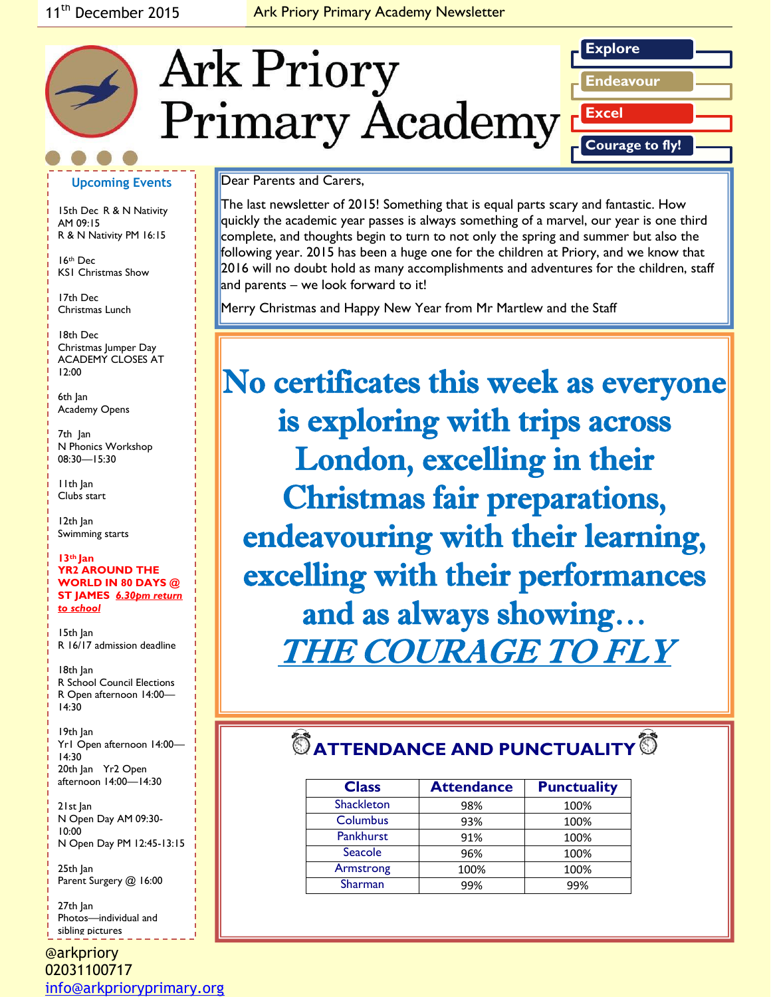## 11<sup>th</sup> December 2015 **Ark Priory Primary Academy Newsletter**



### **Upcoming Events**

15th Dec R & N Nativity AM 09:15 R & N Nativity PM 16:15

16th Dec KS1 Christmas Show

17th Dec Christmas Lunch

*Caption describing*  ACADEMY CLOSES AT *picture or graphic.* 18th Dec Christmas Jumper Day 12:00

6th Jan Academy Opens

7th Jan N Phonics Workshop 08:30—15:30

11th Jan Clubs start

12th Jan Swimming starts

#### **13th Jan YR2 AROUND THE WORLD IN 80 DAYS @ ST JAMES** *6.30pm return to school*

15th Jan R 16/17 admission deadline

18th Jan R School Council Elections R Open afternoon 14:00— 14:30

19th Jan Yr1 Open afternoon 14:00— 14:30 20th Jan Yr2 Open afternoon 14:00—14:30

21st Jan N Open Day AM 09:30- 10:00 N Open Day PM 12:45-13:15

25th Jan Parent Surgery @ 16:00

27th Jan Photos—individual and sibling pictures

@arkpriory 02031100717 [info@arkprioryprimary.org](mailto:info@arkprioryprimary.org) 

### Dear Parents and Carers,

The last newsletter of 2015! Something that is equal parts scary and fantastic. How quickly the academic year passes is always something of a marvel, our year is one third complete, and thoughts begin to turn to not only the spring and summer but also the following year. 2015 has been a huge one for the children at Priory, and we know that 2016 will no doubt hold as many accomplishments and adventures for the children, staff and parents – we look forward to it!

Merry Christmas and Happy New Year from Mr Martlew and the Staff

No certificates this week as everyone is exploring with trips across London, excelling in their Christmas fair preparations, endeavouring with their learning, excelling with their performances and as always showing… THE COURAGE TO FLY

# $\bullet$  ATTENDANCE AND PUNCTUALITY<sup>®</sup>

| <b>Class</b>      | <b>Attendance</b> | <b>Punctuality</b> |
|-------------------|-------------------|--------------------|
| <b>Shackleton</b> | 98%               | 100%               |
| Columbus          | 93%               | 100%               |
| <b>Pankhurst</b>  | 91%               | 100%               |
| Seacole           | 96%               | 100%               |
| Armstrong         | 100%              | 100%               |
| Sharman           | 99%               | 99%                |